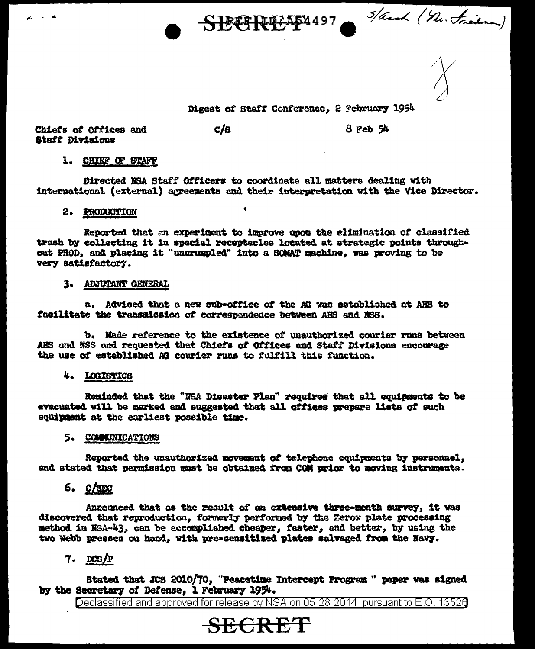SBCREAD497 S/and (n. trien)

Digest of Staff Conference, 2 February 1954

Chiefs of Offices and Staff Divisions

 $c/s$ 

 $8$  Feb  $54$ 

### 1. CHIEF OF STAFF

Directed NSA Staff Officers to coordinate all matters dealing with international (external) agreements and their interpretation with the Vice Director.

### 2. PRODUCTION

Reported that an experiment to improve upon the elimination of classified trash by collecting it in special receptacles located at strategic points throughout PROD, and placing it "uncrumpled" into a SOMAT machine, was proving to be very satisfactory.

#### 3. ADJUTANT GENERAL

a. Advised that a new sub-office of the AG was established at AHS to facilitate the transmission of correspondence between AHS and NSS.

b. Made reference to the existence of unauthorized courier runs between AHS and NSS and requested that Chiefs of Offices and Staff Divisions encourage the use of established AG courier runs to fulfill this function.

## 4. LOGISTICS

Reminded that the "NSA Disaster Plan" requires that all equipments to be evacuated will be marked and suggested that all offices prepare lists of such equipment at the earliest possible time.

### 5. COMMITTEATIONS

Reported the unauthorized novement of telephone equipments by personnel, and stated that permission must be obtained from COM prior to moving instruments.

 $6.$   $C/SEC$ 

Announced that as the result of an extensive three-month survey, it was discovered that reproduction, formerly performed by the Zerox plate processing method in NSA-43, can be accomplished cheaper, faster, and better, by using the two Webb presses on hand, with pre-sensitized plates salvaged from the Navy.

 $7.$  DCS/P

Stated that JCS 2010/70. "Peacetime Intercept Program " paper was signed by the Secretary of Defense, 1 February 1954.

Declassified and approved for release by NSA on 05-28-2014 pursuant to E.O. 13526

# **SECRET**